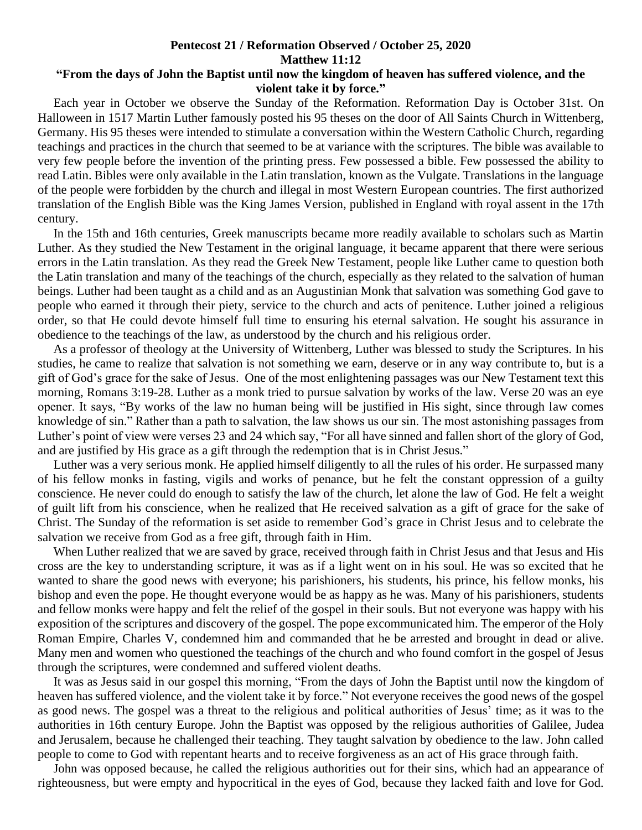## **Pentecost 21 / Reformation Observed / October 25, 2020 Matthew 11:12**

## **"From the days of John the Baptist until now the kingdom of heaven has suffered violence, and the violent take it by force."**

 Each year in October we observe the Sunday of the Reformation. Reformation Day is October 31st. On Halloween in 1517 Martin Luther famously posted his 95 theses on the door of All Saints Church in Wittenberg, Germany. His 95 theses were intended to stimulate a conversation within the Western Catholic Church, regarding teachings and practices in the church that seemed to be at variance with the scriptures. The bible was available to very few people before the invention of the printing press. Few possessed a bible. Few possessed the ability to read Latin. Bibles were only available in the Latin translation, known as the Vulgate. Translations in the language of the people were forbidden by the church and illegal in most Western European countries. The first authorized translation of the English Bible was the King James Version, published in England with royal assent in the 17th century.

 In the 15th and 16th centuries, Greek manuscripts became more readily available to scholars such as Martin Luther. As they studied the New Testament in the original language, it became apparent that there were serious errors in the Latin translation. As they read the Greek New Testament, people like Luther came to question both the Latin translation and many of the teachings of the church, especially as they related to the salvation of human beings. Luther had been taught as a child and as an Augustinian Monk that salvation was something God gave to people who earned it through their piety, service to the church and acts of penitence. Luther joined a religious order, so that He could devote himself full time to ensuring his eternal salvation. He sought his assurance in obedience to the teachings of the law, as understood by the church and his religious order.

 As a professor of theology at the University of Wittenberg, Luther was blessed to study the Scriptures. In his studies, he came to realize that salvation is not something we earn, deserve or in any way contribute to, but is a gift of God's grace for the sake of Jesus. One of the most enlightening passages was our New Testament text this morning, Romans 3:19-28. Luther as a monk tried to pursue salvation by works of the law. Verse 20 was an eye opener. It says, "By works of the law no human being will be justified in His sight, since through law comes knowledge of sin." Rather than a path to salvation, the law shows us our sin. The most astonishing passages from Luther's point of view were verses 23 and 24 which say, "For all have sinned and fallen short of the glory of God, and are justified by His grace as a gift through the redemption that is in Christ Jesus."

 Luther was a very serious monk. He applied himself diligently to all the rules of his order. He surpassed many of his fellow monks in fasting, vigils and works of penance, but he felt the constant oppression of a guilty conscience. He never could do enough to satisfy the law of the church, let alone the law of God. He felt a weight of guilt lift from his conscience, when he realized that He received salvation as a gift of grace for the sake of Christ. The Sunday of the reformation is set aside to remember God's grace in Christ Jesus and to celebrate the salvation we receive from God as a free gift, through faith in Him.

 When Luther realized that we are saved by grace, received through faith in Christ Jesus and that Jesus and His cross are the key to understanding scripture, it was as if a light went on in his soul. He was so excited that he wanted to share the good news with everyone; his parishioners, his students, his prince, his fellow monks, his bishop and even the pope. He thought everyone would be as happy as he was. Many of his parishioners, students and fellow monks were happy and felt the relief of the gospel in their souls. But not everyone was happy with his exposition of the scriptures and discovery of the gospel. The pope excommunicated him. The emperor of the Holy Roman Empire, Charles V, condemned him and commanded that he be arrested and brought in dead or alive. Many men and women who questioned the teachings of the church and who found comfort in the gospel of Jesus through the scriptures, were condemned and suffered violent deaths.

 It was as Jesus said in our gospel this morning, "From the days of John the Baptist until now the kingdom of heaven has suffered violence, and the violent take it by force." Not everyone receives the good news of the gospel as good news. The gospel was a threat to the religious and political authorities of Jesus' time; as it was to the authorities in 16th century Europe. John the Baptist was opposed by the religious authorities of Galilee, Judea and Jerusalem, because he challenged their teaching. They taught salvation by obedience to the law. John called people to come to God with repentant hearts and to receive forgiveness as an act of His grace through faith.

 John was opposed because, he called the religious authorities out for their sins, which had an appearance of righteousness, but were empty and hypocritical in the eyes of God, because they lacked faith and love for God.